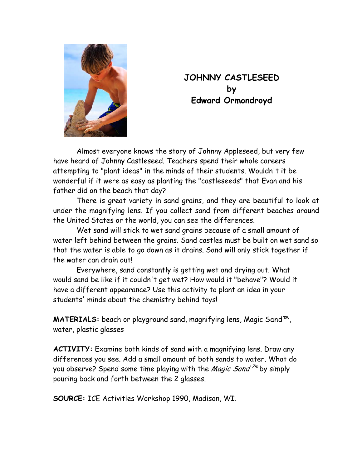

## **JOHNNY CASTLESEED by Edward Ormondroyd**

Almost everyone knows the story of Johnny Appleseed, but very few have heard of Johnny Castleseed. Teachers spend their whole careers attempting to "plant ideas" in the minds of their students. Wouldn't it be wonderful if it were as easy as planting the "castleseeds" that Evan and his father did on the beach that day?

There is great variety in sand grains, and they are beautiful to look at under the magnifying lens. If you collect sand from different beaches around the United States or the world, you can see the differences.

Wet sand will stick to wet sand grains because of a small amount of water left behind between the grains. Sand castles must be built on wet sand so that the water is able to go down as it drains. Sand will only stick together if the water can drain out!

Everywhere, sand constantly is getting wet and drying out. What would sand be like if it couldn't get wet? How would it "behave"? Would it have a different appearance? Use this activity to plant an idea in your students' minds about the chemistry behind toys!

 **MATERIALS:** beach or playground sand, magnifying lens, Magic Sand™, water, plastic glasses

 **ACTIVITY:** Examine both kinds of sand with a magnifying lens. Draw any differences you see. Add a small amount of both sands to water. What do you observe? Spend some time playing with the *Magic Sand*  $\frac{7}{m}$  by simply pouring back and forth between the 2 glasses.

**SOURCE:** ICE Activities Workshop 1990, Madison, WI.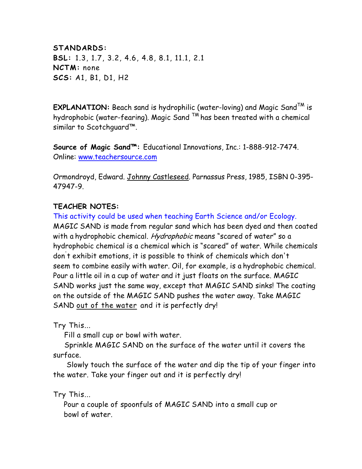**STANDARDS: BSL:** 1.3, 1.7, 3.2, 4.6, 4.8, 8.1, 11.1, 2.1 **NCTM:** none **SCS:** A1, B1, D1, H2

 **EXPLANATION:** Beach sand is hydrophilic (water-loving) and Magic SandTM is hydrophobic (water-fearing). Magic Sand  $TM$  has been treated with a chemical similar to Scotchguard™.

**Source of Magic Sand™:** Educational Innovations, Inc.: 1-888-912-7474. Online: [www.teachersource.com](http://www.teachersource.com/)

Ormondroyd, Edward. Johnny Castleseed. Parnassus Press, 1985, ISBN 0-395- 47947-9.

## **TEACHER NOTES:**

This activity could be used when teaching Earth Science and/or Ecology. MAGIC SAND is made from regular sand which has been dyed and then coated with a hydrophobic chemical. Hydrophobic means "scared of water" so a hydrophobic chemical is a chemical which is "scared" of water. While chemicals don' t exhibit emotions, it is possible to think of chemicals which don't seem to combine easily with water. Oil, for example, is a hydrophobic chemical. Pour a little oil in a cup of water and it just floats on the surface. MAGIC SAND works just the same way, except that MAGIC SAND sinks! The coating on the outside of the MAGIC SAND pushes the water away. Take MAGIC SAND out of the water and it is perfectly dry!

Try This...

Fill a small cup or bowl with water.

 Sprinkle MAGIC SAND on the surface of the water until it covers the surface.

 Slowly touch the surface of the water and dip the tip of your finger into the water. Take your finger out and it is perfectly dry!

Try This...

Pour a couple of spoonfuls of MAGIC SAND into a small cup or bowl of water.